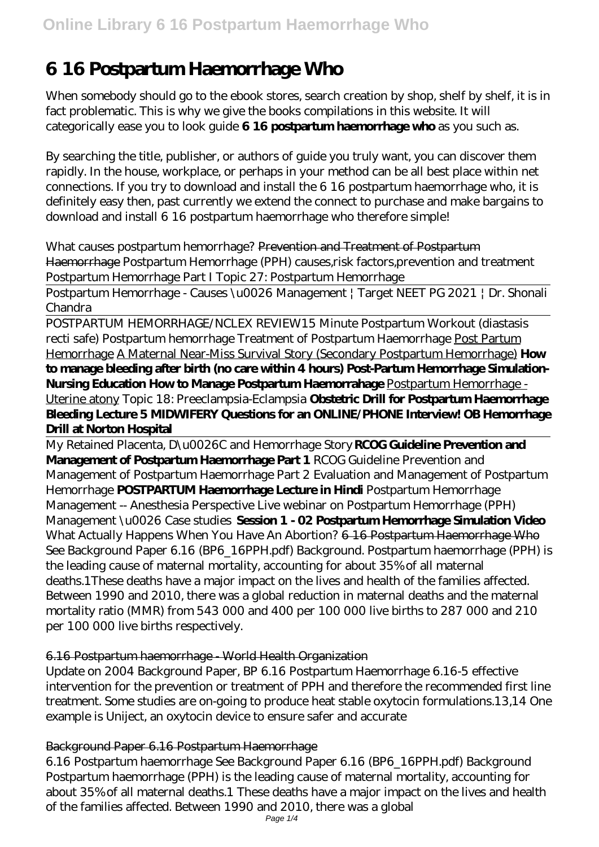# **6 16 Postpartum Haemorrhage Who**

When somebody should go to the ebook stores, search creation by shop, shelf by shelf, it is in fact problematic. This is why we give the books compilations in this website. It will categorically ease you to look guide **6 16 postpartum haemorrhage who** as you such as.

By searching the title, publisher, or authors of guide you truly want, you can discover them rapidly. In the house, workplace, or perhaps in your method can be all best place within net connections. If you try to download and install the 6 16 postpartum haemorrhage who, it is definitely easy then, past currently we extend the connect to purchase and make bargains to download and install 6 16 postpartum haemorrhage who therefore simple!

*What causes postpartum hemorrhage?* Prevention and Treatment of Postpartum Haemorrhage *Postpartum Hemorrhage (PPH) causes,risk factors,prevention and treatment* Postpartum Hemorrhage Part I Topic 27: Postpartum Hemorrhage

Postpartum Hemorrhage - Causes \u0026 Management | Target NEET PG 2021 | Dr. Shonali Chandra

POSTPARTUM HEMORRHAGE/NCLEX REVIEW*15 Minute Postpartum Workout (diastasis recti safe) Postpartum hemorrhage* Treatment of Postpartum Haemorrhage Post Partum Hemorrhage A Maternal Near-Miss Survival Story (Secondary Postpartum Hemorrhage) **How to manage bleeding after birth (no care within 4 hours) Post-Partum Hemorrhage Simulation-Nursing Education How to Manage Postpartum Haemorrahage** Postpartum Hemorrhage - Uterine atony *Topic 18: Preeclampsia-Eclampsia* **Obstetric Drill for Postpartum Haemorrhage Bleeding Lecture 5 MIDWIFERY Questions for an ONLINE/PHONE Interview! OB Hemorrhage Drill at Norton Hospital**

My Retained Placenta, D\u0026C and Hemorrhage Story **RCOG Guideline Prevention and Management of Postpartum Haemorrhage Part 1** *RCOG Guideline Prevention and Management of Postpartum Haemorrhage Part 2 Evaluation and Management of Postpartum Hemorrhage* **POSTPARTUM Haemorrhage Lecture in Hindi** Postpartum Hemorrhage Management -- Anesthesia Perspective Live webinar on Postpartum Hemorrhage (PPH) Management \u0026 Case studies **Session 1 - 02 Postpartum Hemorrhage Simulation Video** What Actually Happens When You Have An Abortion? 6 16 Postpartum Haemorrhage Who See Background Paper 6.16 (BP6\_16PPH.pdf) Background. Postpartum haemorrhage (PPH) is the leading cause of maternal mortality, accounting for about 35% of all maternal deaths.1These deaths have a major impact on the lives and health of the families affected. Between 1990 and 2010, there was a global reduction in maternal deaths and the maternal mortality ratio (MMR) from 543 000 and 400 per 100 000 live births to 287 000 and 210 per 100 000 live births respectively.

# 6.16 Postpartum haemorrhage - World Health Organization

Update on 2004 Background Paper, BP 6.16 Postpartum Haemorrhage 6.16-5 effective intervention for the prevention or treatment of PPH and therefore the recommended first line treatment. Some studies are on-going to produce heat stable oxytocin formulations.13,14 One example is Uniject, an oxytocin device to ensure safer and accurate

# Background Paper 6.16 Postpartum Haemorrhage

6.16 Postpartum haemorrhage See Background Paper 6.16 (BP6\_16PPH.pdf) Background Postpartum haemorrhage (PPH) is the leading cause of maternal mortality, accounting for about 35% of all maternal deaths.1 These deaths have a major impact on the lives and health of the families affected. Between 1990 and 2010, there was a global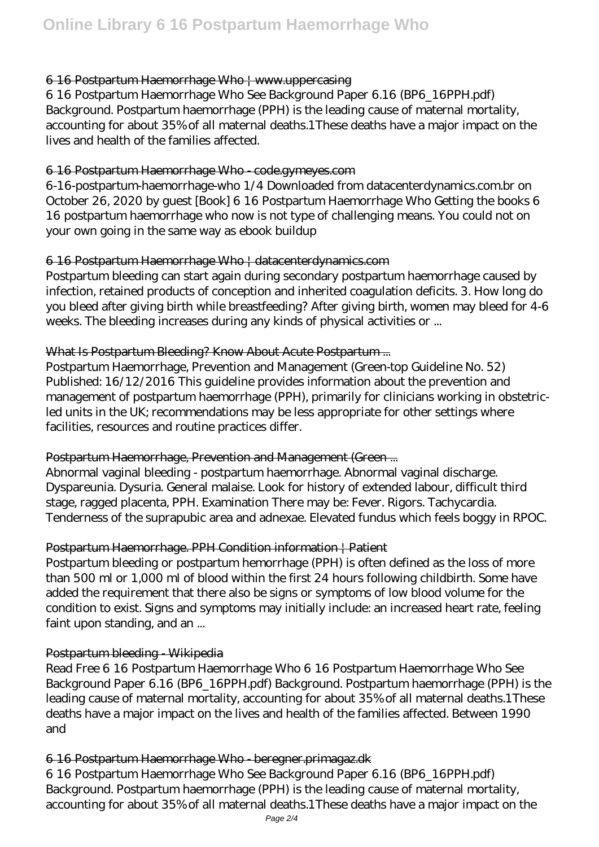#### 6 16 Postpartum Haemorrhage Who | www.uppercasing

6 16 Postpartum Haemorrhage Who See Background Paper 6.16 (BP6\_16PPH.pdf) Background. Postpartum haemorrhage (PPH) is the leading cause of maternal mortality, accounting for about 35% of all maternal deaths.1These deaths have a major impact on the lives and health of the families affected.

# 6 16 Postpartum Haemorrhage Who - code.gymeyes.com

6-16-postpartum-haemorrhage-who 1/4 Downloaded from datacenterdynamics.com.br on October 26, 2020 by guest [Book] 6 16 Postpartum Haemorrhage Who Getting the books 6 16 postpartum haemorrhage who now is not type of challenging means. You could not on your own going in the same way as ebook buildup

# 6 16 Postpartum Haemorrhage Who | datacenterdynamics.com

Postpartum bleeding can start again during secondary postpartum haemorrhage caused by infection, retained products of conception and inherited coagulation deficits. 3. How long do you bleed after giving birth while breastfeeding? After giving birth, women may bleed for 4-6 weeks. The bleeding increases during any kinds of physical activities or ...

# What Is Postpartum Bleeding? Know About Acute Postpartum...

Postpartum Haemorrhage, Prevention and Management (Green-top Guideline No. 52) Published: 16/12/2016 This guideline provides information about the prevention and management of postpartum haemorrhage (PPH), primarily for clinicians working in obstetricled units in the UK; recommendations may be less appropriate for other settings where facilities, resources and routine practices differ.

# Postpartum Haemorrhage, Prevention and Management (Green ...

Abnormal vaginal bleeding - postpartum haemorrhage. Abnormal vaginal discharge. Dyspareunia. Dysuria. General malaise. Look for history of extended labour, difficult third stage, ragged placenta, PPH. Examination There may be: Fever. Rigors. Tachycardia. Tenderness of the suprapubic area and adnexae. Elevated fundus which feels boggy in RPOC.

# Postpartum Haemorrhage. PPH Condition information | Patient

Postpartum bleeding or postpartum hemorrhage (PPH) is often defined as the loss of more than 500 ml or 1,000 ml of blood within the first 24 hours following childbirth. Some have added the requirement that there also be signs or symptoms of low blood volume for the condition to exist. Signs and symptoms may initially include: an increased heart rate, feeling faint upon standing, and an ...

#### Postpartum bleeding Wikipedia

Read Free 6 16 Postpartum Haemorrhage Who 6 16 Postpartum Haemorrhage Who See Background Paper 6.16 (BP6\_16PPH.pdf) Background. Postpartum haemorrhage (PPH) is the leading cause of maternal mortality, accounting for about 35% of all maternal deaths.1These deaths have a major impact on the lives and health of the families affected. Between 1990 and

# 6 16 Postpartum Haemorrhage Who - beregner.primagaz.dk

6 16 Postpartum Haemorrhage Who See Background Paper 6.16 (BP6\_16PPH.pdf) Background. Postpartum haemorrhage (PPH) is the leading cause of maternal mortality, accounting for about 35% of all maternal deaths.1These deaths have a major impact on the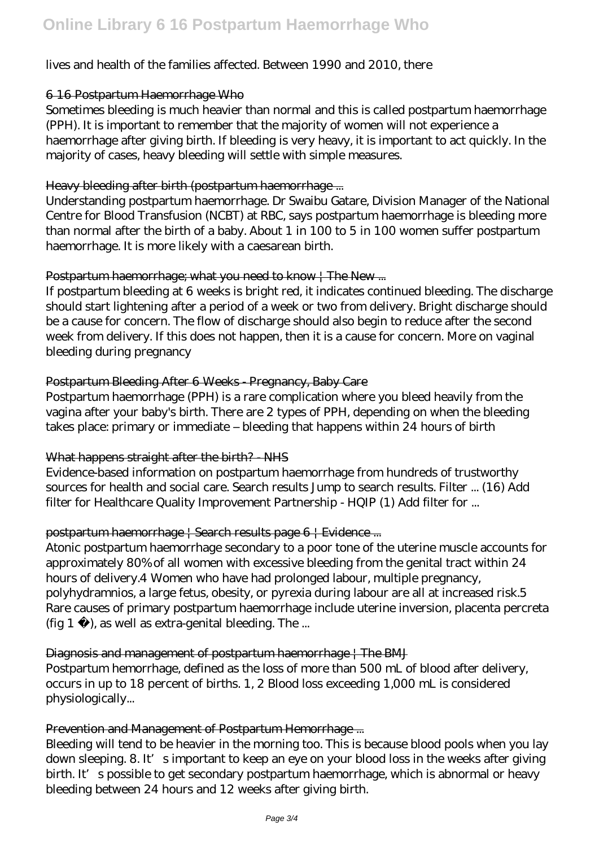# lives and health of the families affected. Between 1990 and 2010, there

#### 6 16 Postpartum Haemorrhage Who

Sometimes bleeding is much heavier than normal and this is called postpartum haemorrhage (PPH). It is important to remember that the majority of women will not experience a haemorrhage after giving birth. If bleeding is very heavy, it is important to act quickly. In the majority of cases, heavy bleeding will settle with simple measures.

#### Heavy bleeding after birth (postpartum haemorrhage ...

Understanding postpartum haemorrhage. Dr Swaibu Gatare, Division Manager of the National Centre for Blood Transfusion (NCBT) at RBC, says postpartum haemorrhage is bleeding more than normal after the birth of a baby. About 1 in 100 to 5 in 100 women suffer postpartum haemorrhage. It is more likely with a caesarean birth.

#### Postpartum haemorrhage; what you need to know | The New ...

If postpartum bleeding at 6 weeks is bright red, it indicates continued bleeding. The discharge should start lightening after a period of a week or two from delivery. Bright discharge should be a cause for concern. The flow of discharge should also begin to reduce after the second week from delivery. If this does not happen, then it is a cause for concern. More on vaginal bleeding during pregnancy

#### Postpartum Bleeding After 6 Weeks - Pregnancy, Baby Care

Postpartum haemorrhage (PPH) is a rare complication where you bleed heavily from the vagina after your baby's birth. There are 2 types of PPH, depending on when the bleeding takes place: primary or immediate – bleeding that happens within 24 hours of birth

#### What happens straight after the birth? NHS

Evidence-based information on postpartum haemorrhage from hundreds of trustworthy sources for health and social care. Search results Jump to search results. Filter ... (16) Add filter for Healthcare Quality Improvement Partnership - HQIP (1) Add filter for ...

#### postpartum haemorrhage | Search results page 6 | Evidence ...

Atonic postpartum haemorrhage secondary to a poor tone of the uterine muscle accounts for approximately 80% of all women with excessive bleeding from the genital tract within 24 hours of delivery.4 Women who have had prolonged labour, multiple pregnancy, polyhydramnios, a large fetus, obesity, or pyrexia during labour are all at increased risk.5 Rare causes of primary postpartum haemorrhage include uterine inversion, placenta percreta (fig  $1$ ), as well as extra-genital bleeding. The ...

#### Diagnosis and management of postpartum haemorrhage | The BMJ

Postpartum hemorrhage, defined as the loss of more than 500 mL of blood after delivery, occurs in up to 18 percent of births. 1, 2 Blood loss exceeding 1,000 mL is considered physiologically...

#### Prevention and Management of Postpartum Hemorrhage ...

Bleeding will tend to be heavier in the morning too. This is because blood pools when you lay down sleeping. 8. It's important to keep an eye on your blood loss in the weeks after giving birth. It's possible to get secondary postpartum haemorrhage, which is abnormal or heavy bleeding between 24 hours and 12 weeks after giving birth.